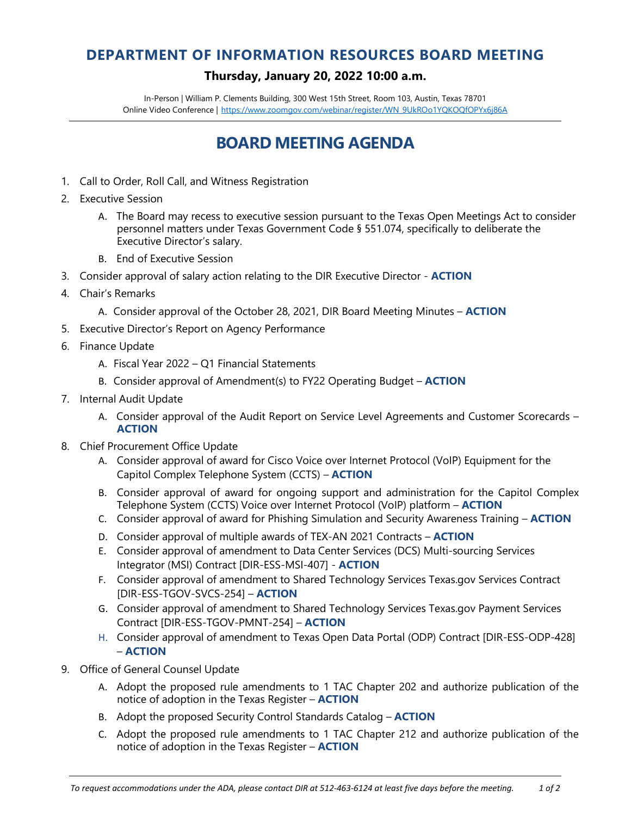## **DEPARTMENT OF INFORMATION RESOURCES BOARD MEETING**

## **Thursday, January 20, 2022 10:00 a.m.**

In-Person | William P. Clements Building, 300 West 15th Street, Room 103, Austin, Texas 78701 Online Video Conference | [https://www.zoomgov.com/webinar/register/WN\\_9UkROo1YQKOQfOPYx6j86A](https://www.zoomgov.com/webinar/register/WN_9UkROo1YQKOQfOPYx6j86A)

## **BOARD MEETING AGENDA**

- 1. Call to Order, Roll Call, and Witness Registration
- 2. Executive Session
	- A. The Board may recess to executive session pursuant to the Texas Open Meetings Act to consider personnel matters under Texas Government Code § 551.074, specifically to deliberate the Executive Director's salary.
	- B. End of Executive Session
- 3. Consider approval of salary action relating to the DIR Executive Director **ACTION**
- 4. Chair's Remarks
	- A. Consider approval of the October 28, 2021, DIR Board Meeting Minutes **ACTION**
- 5. Executive Director's Report on Agency Performance
- 6. Finance Update
	- A. Fiscal Year 2022 Q1 Financial Statements
	- B. Consider approval of Amendment(s) to FY22 Operating Budget **ACTION**
- 7. Internal Audit Update
	- A. Consider approval of the Audit Report on Service Level Agreements and Customer Scorecards **ACTION**
- 8. Chief Procurement Office Update
	- A. Consider approval of award for Cisco Voice over Internet Protocol (VoIP) Equipment for the Capitol Complex Telephone System (CCTS) – **ACTION**
	- B. Consider approval of award for ongoing support and administration for the Capitol Complex Telephone System (CCTS) Voice over Internet Protocol (VoIP) platform – **ACTION**
	- C. Consider approval of award for Phishing Simulation and Security Awareness Training **ACTION**
	- D. Consider approval of multiple awards of TEX-AN 2021 Contracts **ACTION**
	- E. Consider approval of amendment to Data Center Services (DCS) Multi-sourcing Services Integrator (MSI) Contract [DIR-ESS-MSI-407] - **ACTION**
	- F. Consider approval of amendment to Shared Technology Services Texas.gov Services Contract [DIR-ESS-TGOV-SVCS-254] – **ACTION**
	- G. Consider approval of amendment to Shared Technology Services Texas.gov Payment Services Contract [DIR-ESS-TGOV-PMNT-254] – **ACTION**
	- H. Consider approval of amendment to Texas Open Data Portal (ODP) Contract [DIR-ESS-ODP-428] – **ACTION**
- 9. Office of General Counsel Update
	- A. Adopt the proposed rule amendments to 1 TAC Chapter 202 and authorize publication of the notice of adoption in the Texas Register – **ACTION**
	- B. Adopt the proposed Security Control Standards Catalog **ACTION**
	- C. Adopt the proposed rule amendments to 1 TAC Chapter 212 and authorize publication of the notice of adoption in the Texas Register – **ACTION**